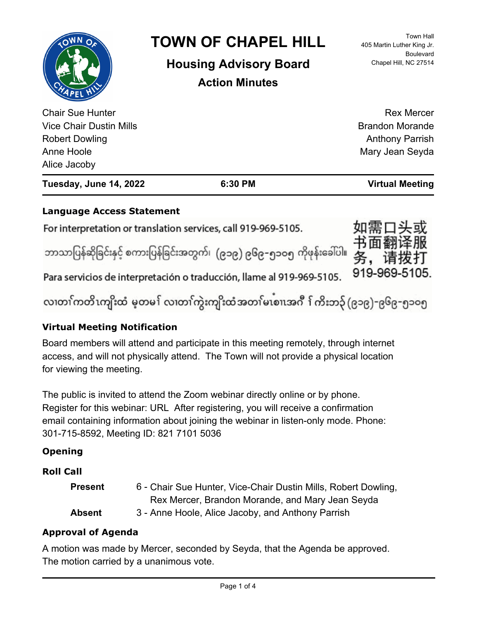# **Language Access Statement**

For interpretation or translation services, call 919-969-5105.

ဘာသာပြန်ဆိုခြင်းနှင့် စကားပြန်ခြင်းအတွက်၊ (၉၁၉) ၉၆၉-၅၁ဝ၅ ကိုဖုန်းခေါ်ပါ။ **务,请拨**:



Para servicios de interpretación o traducción, llame al 919-969-5105.

လ၊တၢ်ကတိၤကျိးထံ မ့တမ႑် လ၊တၢ်ကွဲးကျိးထံအတၤ်မၤစၢ၊အဂီ ႑်ကိးဘ၃် (၉၁၉)-၉၆၉-၅၁၀၅

## **Virtual Meeting Notification**

Board members will attend and participate in this meeting remotely, through internet access, and will not physically attend. The Town will not provide a physical location for viewing the meeting.

The public is invited to attend the Zoom webinar directly online or by phone. Register for this webinar: URL After registering, you will receive a confirmation email containing information about joining the webinar in listen-only mode. Phone: 301-715-8592, Meeting ID: 821 7101 5036

## **Opening**

## **Roll Call**

| <b>Present</b> | 6 - Chair Sue Hunter, Vice-Chair Dustin Mills, Robert Dowling, |
|----------------|----------------------------------------------------------------|
|                | Rex Mercer, Brandon Morande, and Mary Jean Seyda               |
| <b>Absent</b>  | 3 - Anne Hoole, Alice Jacoby, and Anthony Parrish              |

## **Approval of Agenda**

A motion was made by Mercer, seconded by Seyda, that the Agenda be approved. The motion carried by a unanimous vote.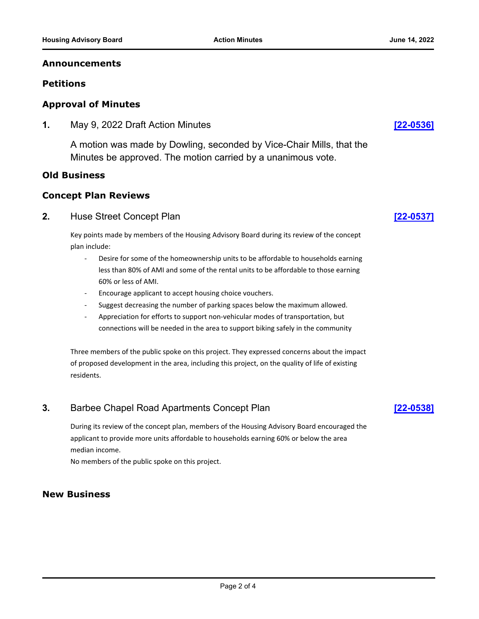#### **Announcements**

#### **Petitions**

#### **Approval of Minutes**

**1.** May 9, 2022 Draft Action Minutes **[\[22-0536\]](http://chapelhill.legistar.com/gateway.aspx?m=l&id=/matter.aspx?key=8088)**

A motion was made by Dowling, seconded by Vice-Chair Mills, that the Minutes be approved. The motion carried by a unanimous vote.

#### **Old Business**

### **Concept Plan Reviews**

#### **2.** Huse Street Concept Plan **[\[22-0537\]](http://chapelhill.legistar.com/gateway.aspx?m=l&id=/matter.aspx?key=8078)**

Key points made by members of the Housing Advisory Board during its review of the concept plan include:

- Desire for some of the homeownership units to be affordable to households earning less than 80% of AMI and some of the rental units to be affordable to those earning 60% or less of AMI.
- Encourage applicant to accept housing choice vouchers.
- Suggest decreasing the number of parking spaces below the maximum allowed.
- Appreciation for efforts to support non-vehicular modes of transportation, but connections will be needed in the area to support biking safely in the community

Three members of the public spoke on this project. They expressed concerns about the impact of proposed development in the area, including this project, on the quality of life of existing residents.

## **3.** Barbee Chapel Road Apartments Concept Plan **[\[22-0538\]](http://chapelhill.legistar.com/gateway.aspx?m=l&id=/matter.aspx?key=8079)**

During its review of the concept plan, members of the Housing Advisory Board encouraged the applicant to provide more units affordable to households earning 60% or below the area median income.

No members of the public spoke on this project.

### **New Business**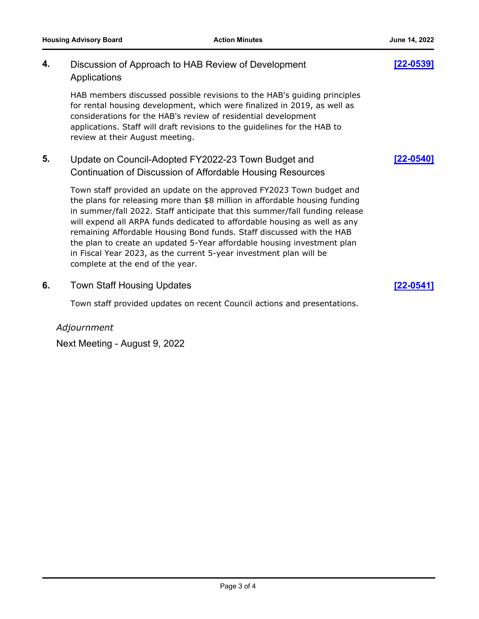| 4. | Discussion of Approach to HAB Review of Development<br>Applications                                                                                                                                                                                                                                                                                                                                                                                                                                                                                                           | 122-05391 |
|----|-------------------------------------------------------------------------------------------------------------------------------------------------------------------------------------------------------------------------------------------------------------------------------------------------------------------------------------------------------------------------------------------------------------------------------------------------------------------------------------------------------------------------------------------------------------------------------|-----------|
|    | HAB members discussed possible revisions to the HAB's guiding principles<br>for rental housing development, which were finalized in 2019, as well as<br>considerations for the HAB's review of residential development<br>applications. Staff will draft revisions to the guidelines for the HAB to<br>review at their August meeting.                                                                                                                                                                                                                                        |           |
| 5. | Update on Council-Adopted FY2022-23 Town Budget and<br>Continuation of Discussion of Affordable Housing Resources                                                                                                                                                                                                                                                                                                                                                                                                                                                             | [22-0540] |
|    | Town staff provided an update on the approved FY2023 Town budget and<br>the plans for releasing more than \$8 million in affordable housing funding<br>in summer/fall 2022. Staff anticipate that this summer/fall funding release<br>will expend all ARPA funds dedicated to affordable housing as well as any<br>remaining Affordable Housing Bond funds. Staff discussed with the HAB<br>the plan to create an updated 5-Year affordable housing investment plan<br>in Fiscal Year 2023, as the current 5-year investment plan will be<br>complete at the end of the year. |           |
| 6. | <b>Town Staff Housing Updates</b>                                                                                                                                                                                                                                                                                                                                                                                                                                                                                                                                             | 122-05    |

Town staff provided updates on recent Council actions and presentations.

*Adjournment*

Next Meeting - August 9, 2022